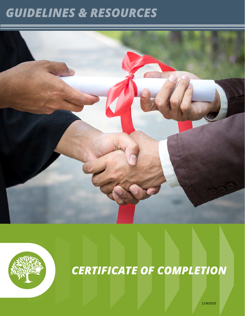## *GUIDELINES & RESOURCES*





# *CERTIFICATE OF COMPLETION*

11/9/2020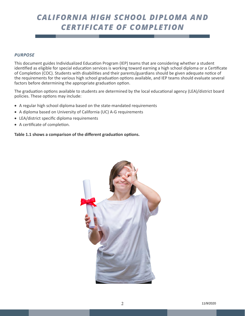## *CALIFORNIA HIGH SCHOOL DIPLOMA AND CERTIFICATE OF COMPLETION*

## *PURPOSE*

This document guides Individualized Education Program (IEP) teams that are considering whether a student identified as eligible for special education services is working toward earning a high school diploma or a Certificate of Completion (COC). Students with disabilities and their parents/guardians should be given adequate notice of the requirements for the various high school graduation options available, and IEP teams should evaluate several factors before determining the appropriate graduation option.

The graduation options available to students are determined by the local educational agency (LEA)/district board policies. These options may include:

- A regular high school diploma based on the state-mandated requirements
- A diploma based on University of California (UC) A-G requirements
- LEA/district specific diploma requirements
- • A certificate of completion.

## **Table 1.1 shows a comparison of the different graduation options.**

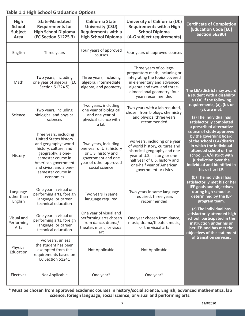#### **High School Subject Area State-Mandated Requirements for High School Diploma (EC Section 51225.3) California State University (CSU) Requirements with a High School Diploma University of California (UC) Requirements with a High School Diploma (A-G subject requirements) Certificate of Completion (Education Code [EC] Section 56390)**  English Three years  $\begin{matrix} \end{matrix}$  Four years of approved Four years of approved courses **The LEA/district may award a student with a disability a COC if the following requirements, (a), (b), or (c), are met. (a) The individual has satisfactorily completed a prescribed alternative course of study approved by the governing board of the school LEA/district in which the individual attended school or the school LEA/district with jurisdiction over the individual and identified in his or her IEP. (b) The individual has satisfactorily met his or her IEP goals and objectives during high school as determined by the IEP program team. (c) The individual has satisfactorily attended high school, participated in the instruction under his or her IEP, and has met the objectives of the statement of transition services.** Math Two years, including one year of algebra I (EC Section 51224.5) Three years, including algebra, intermediate algebra, and geometry Three years of collegepreparatory math, including or integrating the topics covered in elementary and advanced algebra and two- and threedimensional geometry; four years recommended Science Two years, including biological and physical sciences Two years, including one year of biological and one year of physical science with a lab Two years with a lab required, chosen from biology, chemistry, and physics; three years recommended History Three years, including United States history and geography; world history, culture, and geography; a onesemester course in American government and civics, and a onesemester course in economics Two years, including one year of U.S. history or U.S. history and government and one year of other approved social science Two years, including one year of world history, cultures and historical geography and one year of U.S. history, or onehalf year of U.S. history and one-half year of American government or civics Language other than English One year in visual or performing arts, foreign language, or career technical education Two years in same language required Two years in same language required; three years recommended Visual and Performing Arts One year in visual or performing arts, foreign language, or career technical education One year of visual and performing arts chosen from dance, drama/ theater, music, or visual art One year chosen from dance, music, drama/theater, music, or the visual arts Physical Education Two years, unless the student has been exempted from the requirements based on EC Section 51241 Not Applicable | Not Applicable Electives Not Applicable None year\* None year\* One year\*

**Table 1.1 High School Graduation Options**

**\* Must be chosen from approved academic courses in history/social science, English, advanced mathematics, lab science, foreign language, social science, or visual and performing arts.**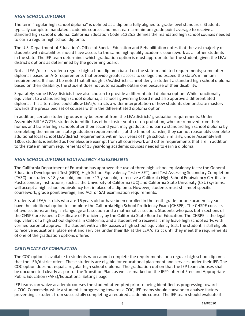## *HIGH SCHOOL DIPLOMA*

The term "regular high school diploma" is defined as a diploma fully aligned to grade-level standards. Students typically complete mandated academic courses and must earn a minimum grade point average to receive a standard high school diploma. California Education Code 51225.3 defines the mandated high school courses needed to earn a regular high school diploma.

The U.S. Department of Education's Office of Special Education and Rehabilitation notes that the vast majority of students with disabilities should have access to the same high-quality academic coursework as all other students in the state. The IEP team determines which graduation option is most appropriate for the student, given the LEA/ district's options as determined by the governing board.

Not all LEAs/districts offer a regular high school diploma based on the state-mandated requirements; some offer diplomas based on A-G requirements that provide greater access to college and exceed the state's minimum requirements. It should be noted that although LEAs/districts cannot deny a student a standard high school diploma based on their disability, the student does not automatically obtain one because of their disability.

Separately, some LEAs/districts have also chosen to provide a differentiated diploma option. While functionally equivalent to a standard high school diploma, a school's governing board must also approve a differentiated diploma. This alternative could allow LEAs/districts a wider interpretation of how students demonstrate mastery towards the prescribed set of courses within the differentiated diploma option.

In addition, certain student groups may be exempt from the LEA/districts' graduation requirements. Under Assembly Bill 167/216, students identified as either foster youth or on probation, who are removed from their homes and transfer high schools after their second year, may graduate and earn a standard high school diploma by completing the minimum state graduation requirements if, at the time of transfer, they cannot reasonably complete additional local school LEA/district requirements within four years of high school. Similarly, under Assembly Bill 1806, students identified as homeless are exempt from all coursework and other requirements that are in addition to the state minimum requirements of 13 year-long academic courses needed to earn a diploma.

## *HIGH SCHOOL DIPLOMA EQUIVALENCY ASSESSMENTS*

The California Department of Education has approved the use of three high school equivalency tests: the General Education Development Test (GED); High School Equivalency Test (HiSET); and Test Assessing Secondary Completion (TASC) for students 18 years old, and some 17 years old, to receive a California High School Equivalency Certificate. Postsecondary institutions, such as the University of California (UC) and California State University (CSU) systems, will accept a high school equivalency test in place of a diploma. However, students must still meet specific coursework, grade point average, and ACT or SAT examination requirements.

Students at LEA/districts who are 16 years old or have been enrolled in the tenth grade for one academic year have the additional option to complete the California High School Proficiency Exam (CHSPE). The CHSPE consists of two sections: an English-language arts section and a mathematics section. Students who pass both sections of the CHSPE are issued a Certificate of Proficiency by the California State Board of Education. The CHSPE is the legal equivalent of a high school diploma in California, and a student who receives it may leave high school early, with verified parental approval. If a student with an IEP passes a high school equivalency test, the student is still eligible to receive educational placement and services under their IEP at the LEA/district until they meet the requirements of one of the graduation options offered.

## *CERTIFICATE OF COMPLETION*

The COC option is available to students who cannot complete the requirements for a regular high school diploma that the LEA/district offers. These students are eligible for educational placement and services under their IEP. The COC option does not equal a regular high school diploma. The graduation option that the IEP team chooses shall be documented clearly as part of the Transition Plan, as well as marked on the IEP's offer of Free and Appropriate Public Education (FAPE)/Educational Settings page.

IEP teams can waive academic courses the student attempted prior to being identified as progressing towards a COC. Conversely, while a student is progressing towards a COC, IEP teams should convene to analyze factors preventing a student from successfully completing a required academic course. The IEP team should evaluate if

4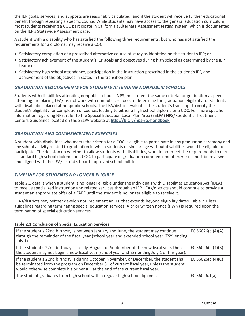the IEP goals, services, and supports are reasonably calculated, and if the student will receive further educational benefit through repeating a specific course. While students may have access to the general education curriculum, most students receiving a COC participate in California's Alternate Assessment testing system, which is documented on the IEP's Statewide Assessment page.

A student with a disability who has satisfied the following three requirements, but who has not satisfied the requirements for a diploma, may receive a COC:

- Satisfactory completion of a prescribed alternative course of study as identified on the student's IEP; or
- Satisfactory achievement of the student's IEP goals and objectives during high school as determined by the IEP team; or
- • Satisfactory high school attendance, participation in the instruction prescribed in the student's IEP, and achievement of the objectives in stated in the transition plan.

## *GRADUATION REQUIREMENTS FOR STUDENTS ATTENDING NONPUBLIC SCHOOLS*

Students with disabilities attending nonpublic schools (NPS) must meet the same criteria for graduation as peers attending the placing LEA/district work with nonpublic schools to determine the graduation eligibility for students with disabilities placed at nonpublic schools. The LEA/district evaluates the student's transcript to verify the student's eligibility for completion of courses leading to either a high school diploma or a COC. For more specific information regarding NPS, refer to the Special Education Local Plan Area (SELPA) NPS/Residential Treatment Centers Guidelines located on the SELPA website at **http://bit.ly/nps-rtc-handbook**.

## *GRADUATION AND COMMENCEMENT EXERCISES*

A student with disabilities who meets the criteria for a COC is eligible to participate in any graduation ceremony and any school activity related to graduation in which students of similar age without disabilities would be eligible to participate. The decision on whether to allow students with disabilities, who do not meet the requirements to earn a standard high school diploma or a COC, to participate in graduation commencement exercises must be reviewed and aligned with the LEA/district's board-approved school policies.

## *TIMELINE FOR STUDENTS NO LONGER ELIGIBLE*

Table 2.1 details when a student is no longer eligible under the Individuals with Disabilities Education Act (IDEA) to receive specialized instruction and related services through an IEP. LEAs/districts should continue to provide a student an appropriate offer of a FAPE until the student is no longer eligible to receive it.

LEAs/districts may neither develop nor implement an IEP that extends beyond eligibility dates. Table 2.1 lists guidelines regarding terminating special education services. A prior written notice (PWN) is required upon the termination of special education services.

## **Table 2.1 Conclusion of Special Education Services**

| If the student's 22nd birthday is between January and June, the student may continue<br>through the remainder of the fiscal year (school year and extended school year [ESY] ending<br>July 1).                                                                          | EC 56026(c)(4)(A) |
|--------------------------------------------------------------------------------------------------------------------------------------------------------------------------------------------------------------------------------------------------------------------------|-------------------|
| If the student's 22nd birthday is in July, August, or September of the new fiscal year, then<br>the student may not begin a new fiscal year (school year and ESY ending July 1 of this year).                                                                            | EC 56026(c)(4)(B) |
| If the student's 22nd birthday is during October, November, or December, the student shall<br>be terminated from the program on December 31 of current fiscal year, unless the student<br>would otherwise complete his or her IEP at the end of the current fiscal year. | EC 56026(c)(4)(C) |
| The student graduates from high school with a regular high school diploma.                                                                                                                                                                                               | EC 56026.1(a)     |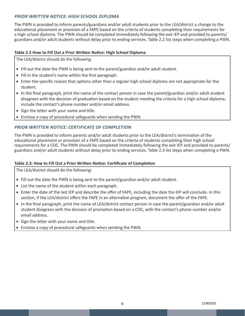## *PRIOR WRITTEN NOTICE: HIGH SCHOOL DIPLOMA*

The PWN is provided to inform parents/guardians and/or adult students prior to the LEA/district a change to the educational placement or provision of a FAPE based on the criteria of students completing their requirements for a high school diploma. The PWN should be completed immediately following the exit IEP and provided to parents/ guardians and/or adult students without delay prior to ending services. Table 2.2 list steps when completing a PWN.

## **Table 2.2 How to Fill Out a Prior Written Notice: High School Diploma**

The LEA/district should do the following:

- Fill out the date the PWN is being sent to the parent/guardian and/or adult student.
- Fill in the student's name within the first paragraph.
- Enter the specific reason that options other than a regular high school diploma are not appropriate for the student.
- In the final paragraph, print the name of the contact person in case the parent/guardian and/or adult student disagrees with the decision of graduation based on the student meeting the criteria for a high school diploma; include the contact's phone number and/or email address.
- Sign the letter with your name and title.
- Enclose a copy of procedural safeguards when sending the PWN.

## *PRIOR WRITTEN NOTICE: CERTIFICATE OF COMPLETION*

The PWN is provided to inform parents and/or adult students prior to the LEA/district's termination of the educational placement or provision of a FAPE based on the criteria of students completing their high school requirements for a COC. The PWN should be completed immediately following the exit IEP and provided to parents/ guardians and/or adult students without delay prior to ending services. Table 2.3 list steps when completing a PWN.

## **Table 2.3: How to Fill Out a Prior Written Notice: Certificate of Completion**

The LEA/district should do the following:

- Fill out the date the PWN is being sent to the parent/guardian and/or adult student.
- List the name of the student within each paragraph.
- • Enter the date of the last IEP and describe the offer of FAPE, including the date the IEP will conclude. In this section, if the LEA/district offers the FAPE in an alternative program, document the offer of the FAPE.
- In the final paragraph, print the name of LEA/district contact person in case the parent/guardian and/or adult student disagrees with the decision of promotion based on a COC, with the contact's phone number and/or email address.
- Sign the letter with your name and title.
- Enclose a copy of procedural safeguards when sending the PWN.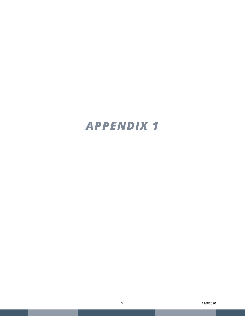## *APPENDIX 1*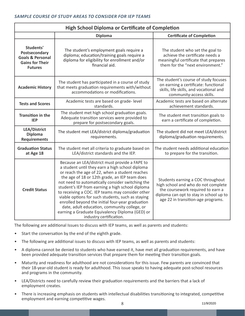| <b>High School Diploma or Certificate of Completion</b>                                               |                                                                                                                                                                                                                                                                                                                                                                                                                                                                                                                                                                                                         |                                                                                                                                                                                                |
|-------------------------------------------------------------------------------------------------------|---------------------------------------------------------------------------------------------------------------------------------------------------------------------------------------------------------------------------------------------------------------------------------------------------------------------------------------------------------------------------------------------------------------------------------------------------------------------------------------------------------------------------------------------------------------------------------------------------------|------------------------------------------------------------------------------------------------------------------------------------------------------------------------------------------------|
|                                                                                                       | <b>Diploma</b>                                                                                                                                                                                                                                                                                                                                                                                                                                                                                                                                                                                          | <b>Certificate of Completion</b>                                                                                                                                                               |
| Students'<br>Postsecondary<br><b>Goals &amp; Personal</b><br><b>Gains for Their</b><br><b>Futures</b> | The student's employment goals require a<br>diploma; education/training goals require a<br>diploma for eligibility for enrollment and/or<br>financial aid.                                                                                                                                                                                                                                                                                                                                                                                                                                              | The student who set the goal to<br>achieve the certificate needs a<br>meaningful certificate that prepares<br>them for the "next environment."                                                 |
| <b>Academic History</b>                                                                               | The student has participated in a course of study<br>that meets graduation requirements with/without<br>accommodations or modifications.                                                                                                                                                                                                                                                                                                                                                                                                                                                                | The student's course of study focuses<br>on earning a certificate: functional<br>skills, life skills, and vocational and<br>community-access skills.                                           |
| <b>Tests and Scores</b>                                                                               | Academic tests are based on grade-level<br>standards.                                                                                                                                                                                                                                                                                                                                                                                                                                                                                                                                                   | Academic tests are based on alternate<br>achievement standards.                                                                                                                                |
| <b>Transition in the</b><br><b>IEP</b>                                                                | The student met high school graduation goals.<br>Adequate transition services were provided to<br>prepare for postsecondary goals.                                                                                                                                                                                                                                                                                                                                                                                                                                                                      | The student met transition goals to<br>earn a certificate of completion.                                                                                                                       |
| <b>LEA/District</b><br><b>Diploma</b><br><b>Requirements</b>                                          | The student met LEA/district diploma/graduation<br>requirements.                                                                                                                                                                                                                                                                                                                                                                                                                                                                                                                                        | The student did not meet LEA/district<br>diploma/graduation requirements.                                                                                                                      |
| <b>Graduation Status</b><br>at Age 18                                                                 | The student met all criteria to graduate based on<br>LEA/district standards and the IEP.                                                                                                                                                                                                                                                                                                                                                                                                                                                                                                                | The student needs additional education<br>to prepare for the transition.                                                                                                                       |
| <b>Credit Status</b>                                                                                  | Because an LEA/district must provide a FAPE to<br>a student until they earn a high school diploma<br>or reach the age of 22, when a student reaches<br>the age of 18 or 12th grade, an IEP team does<br>not need to automatically consider switching the<br>student's IEP from earning a high school diploma<br>to receiving a COC. IEP teams may consider other<br>viable options for such students, such as staying<br>enrolled beyond the initial four-year graduation<br>date, adult education, community college, or<br>earning a Graduate Equivalency Diploma (GED) or<br>industry certification. | Students earning a COC throughout<br>high school and who do not complete<br>the coursework required to earn a<br>diploma can opt to stay in school up to<br>age 22 in transition-age programs. |

The following are additional Issues to discuss with IEP teams, as well as parents and students:

- Start the conversation by the end of the eighth grade.
- The following are additional issues to discuss with IEP teams, as well as parents and students:
- A diploma cannot be denied to students who have earned it, have met all graduation requirements, and have been provided adequate transition services that prepare them for meeting their transition goals.
- Maturity and readiness for adulthood are not considerations for this issue. Few parents are convinced that their 18-year-old student is ready for adulthood. This issue speaks to having adequate post-school resources and programs in the community.
- LEA/Districts need to carefully review their graduation requirements and the barriers that a lack of employment creates.
- There is increasing emphasis on students with intellectual disabilities transitioning to integrated, competitive employment and earning competitive wages.

8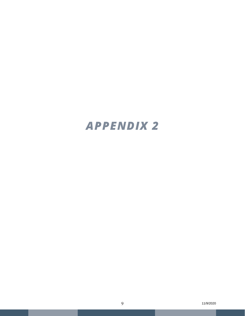## *APPENDIX 2*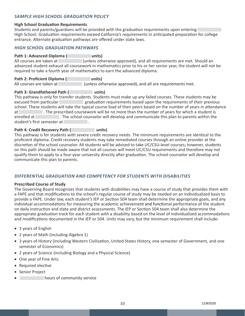## *SAMPLE HIGH SCHOOL GRADUATION POLICY*

## **High School Graduation Requirements**

Students and parents/guardians will be provided with the graduation requirements upon entering High School. Graduation requirements exceed California's requirements in anticipated preparation for college entrance. Alternate graduation pathways are offered under state laws.

## *HIGH SCHOOL GRADUATION PATHWAYS*

**Path 1: Advanced Diploma ( a a units**)

All courses are taken at **All courses are taken at All requirements** are met. Should an advanced student exhaust all coursework in mathematics prior to his or her senior year, the student will not be required to take a fourth year of mathematics to earn the advanced diploma.

**Path 2: Proficient Diploma (**<br> **All courses are taken at**( **unless ot**) **Lall course are a** (unless otherwise approved), and all are requirements met.

## Path 3: Grandfathered Path ( **ABB** units)

This pathway is only for transfer students. Students must make up any failed courses. These students may be **Excused from particular <b>A** excused from particular **A** and **particular** equirements based upon the requirements of their previous school. These students will take the typical course load of their peers based on the number of years in attendance at **B** The prescribed coursework will be no more than the number of years for which a student is enrolled at **A** all the school counselor will develop and communicate this plan to parents within the student's first semester at

## Path 4: Credit Recovery Path ( and a path and state of  $\mathbf{u}$  and  $\mathbf{v}$

This pathway is for students with severe credit recovery needs. The minimum requirements are identical to the proficient diploma. Credit recovery students may take remediated courses through an online provider at the discretion of the school counselor. All students will be advised to take UC/CSU-level courses; however, students on this path should be made aware that not all courses will meet UC/CSU requirements and therefore may not qualify them to apply to a four-year university directly after graduation. The school counselor will develop and communicate this plan to parents.

## *DIFFERENTIAL GRADUATION AND COMPETENCY FOR STUDENTS WITH DISABILITIES*

## **Prescribed Course of Study**

The Governing Board recognizes that students with disabilities may have a course of study that provides them with a FAPE and that modifications to the school's regular course of study may be needed on an individualized basis to provide a FAPE. Under law, each student's IEP or Section 504 team shall determine the appropriate goals, and any individual accommodations for measuring the academic achievement and functional performance of the student on daily instruction and state and district assessments. The IEP or Section 504 team shall also determine the appropriate graduation track for each student with a disability based on the level of individualized accommodations and modifications documented in the IEP or 504. Units may vary, but the minimum requirement shall include:

- 3 years of English
- 2 years of Math (including Algebra 1)
- 3 years of History (including Western Civilization, United States History, one semester of Government, and one semester of Economics)
- 2 years of Science (including Biology and a Physical Science)
- One year of Fine Arts
- • Required elective
- Senior Project
- **Indurs of community service**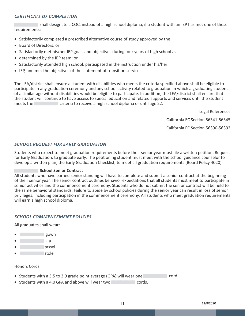## *CERTIFICATE OF COMPLETION*

**The shall designate a COC, instead of a high school diploma, if a student with an IEP has met one of these** requirements:

- Satisfactorily completed a prescribed alternative course of study approved by the
- • Board of Directors; or
- Satisfactorily met his/her IEP goals and objectives during four years of high school as
- determined by the IEP team; or
- Satisfactorily attended high school, participated in the instruction under his/her
- IEP, and met the objectives of the statement of transition services.

The LEA/district shall ensure a student with disabilities who meets the criteria specified above shall be eligible to participate in any graduation ceremony and any school activity related to graduation in which a graduating student of a similar age without disabilities would be eligible to participate. In addition, the LEA/district shall ensure that the student will continue to have access to special education and related supports and services until the student meets the **Band Criteria to receive a high school diploma or until age 22.** 

Legal References

California EC Section 56341-56345

California EC Section 56390-56392

## *SCHOOL REQUEST FOR EARLY GRADUATION*

Students who expect to meet graduation requirements before their senior year must file a written petition, Request for Early Graduation, to graduate early. The petitioning student must meet with the school guidance counselor to develop a written plan, the Early Graduation Checklist, to meet all graduation requirements (Board Policy 4020).

## **■ School Senior Contract**

All students who have earned senior standing will have to complete and submit a senior contract at the beginning of their senior year. The senior contract outlines behavior expectations that all students must meet to participate in senior activities and the commencement ceremony. Students who do not submit the senior contract will be held to the same behavioral standards. Failure to abide by school policies during the senior year can result in loss of senior privileges, including participation in the commencement ceremony. All students who meet graduation requirements will earn a high school diploma.

## *SCHOOL COMMENCEMENT POLICIES*

All graduates shall wear:

- • **■■■■■■■■■■** gown
- • **■■■■■■■■■■** cap
- tassel
- **I** stole

## Honors Cords

- Students with a 3.5 to 3.9 grade point average (GPA) will wear one **A** cord.
- Students with a 4.0 GPA and above will wear two **ACCOLOGY COLOGY**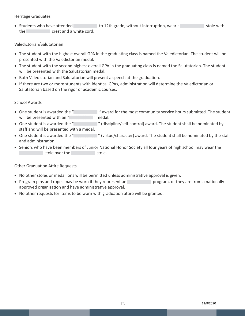## Heritage Graduates

■ Students who have attended **■ ■ a** to 12th grade, without interruption, wear a **■** ■ ■ ■ ■ ■ ■ ■ ■ ■ ■ the **Barbary crest and a white cord.** 

## Valedictorian/Salutatorian

- • The student with the highest overall GPA in the graduating class is named the Valedictorian. The student will be presented with the Valedictorian medal.
- The student with the second highest overall GPA in the graduating class is named the Salutatorian. The student will be presented with the Salutatorian medal.
- Both Valedictorian and Salutatorian will present a speech at the graduation.
- • If there are two or more students with identical GPAs, administration will determine the Valedictorian or Salutatorian based on the rigor of academic courses.

## School Awards

- One student is awarded the "**Addent is awarded the "** award for the most community service hours submitted. The student will be presented with an " **Parameter in the presented** with an "
- One student is awarded the "**<sup>2</sup>** (discipline/self-control) award. The student shall be nominated by staff and will be presented with a medal.
- One student is awarded the "  **"** (virtue/character) award. The student shall be nominated by the staff and administration.
- Seniors who have been members of Junior National Honor Society all four years of high school may wear the **■** stole over the **B** stole.

## Other Graduation Attire Requests

- No other stoles or medallions will be permitted unless administrative approval is given.
- Program pins and ropes may be worn if they represent an **B** and program, or they are from a nationally approved organization and have administrative approval.
- No other requests for items to be worn with graduation attire will be granted.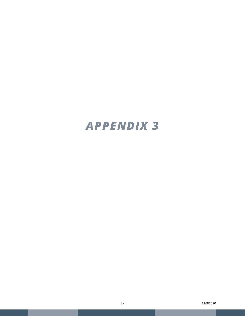## *APPENDIX 3*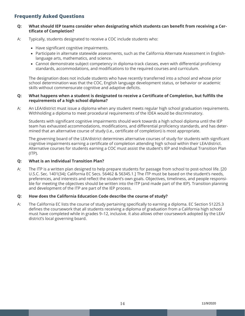## **Frequently Asked Questions**

#### **Q: What should IEP teams consider when designating which students can benefit from receiving a Certificate of Completion?**

- A: Typically, students designated to receive a COC include students who:
	- Have significant cognitive impairments.
	- • Participate in alternate statewide assessments, such as the California Alternate Assessment in Englishlanguage arts, mathematics, and science.
	- Cannot demonstrate subject competency in diploma-track classes, even with differential proficiency standards, accommodations, and modifications to the required courses and curriculum.

The designation does not include students who have recently transferred into a school and whose prior school determination was that the COC, English language development status, or behavior or academic skills without commensurate cognitive and adaptive deficits.

#### **Q: What happens when a student is designated to receive a Certificate of Completion, but fulfills the requirements of a high school diploma?**

A: An LEA/district must issue a diploma when any student meets regular high school graduation requirements. Withholding a diploma to meet procedural requirements of the IDEA would be discriminatory.

Students with significant cognitive impairments should work towards a high school diploma until the IEP team has exhausted accommodations, modifications, and differential proficiency standards, and has determined that an alternative course of study (i.e., certificate of completion) is most appropriate.

The governing board of the LEA/district determines alternative courses of study for students with significant cognitive impairments earning a certificate of completion attending high school within their LEA/district. Alternative courses for students earning a COC must assist the student's IEP and Individual Transition Plan (ITP).

## **Q: What is an Individual Transition Plan?**

A: The ITP is a written plan designed to help prepare students for passage from school to post-school life. [20 U.S.C. Sec. 1401(34); California EC Secs. 56462 & 56345.1.] The ITP must be based on the student's needs, preferences, and interests and reflect the student's own goals. Objectives, timeliness, and people responsible for meeting the objectives should be written into the ITP (and made part of the IEP). Transition planning and development of the ITP are part of the IEP process.

## **Q: How does the California Education Code describe the course of study?**

A: The California EC lists the course of study pertaining specifically to earning a diploma. EC Section 51225.3 defines the coursework that all students receiving a diploma of graduation from a California high school must have completed while in grades 9–12, inclusive. It also allows other coursework adopted by the LEA/ district's local governing board.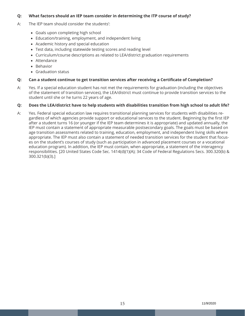## **Q: What factors should an IEP team consider in determining the ITP course of study?**

- A: The IEP team should consider the students':
	- Goals upon completing high school
	- Education/training, employment, and independent living
	- Academic history and special education
	- Test data, including statewide testing scores and reading level
	- • Curriculum/course descriptions as related to LEA/district graduation requirements
	- Attendance
	- • Behavior
	- • Graduation status

## **Q: Can a student continue to get transition services after receiving a Certificate of Completion?**

A: Yes. If a special education student has not met the requirements for graduation (including the objectives of the statement of transition services), the LEA/district must continue to provide transition services to the student until she or he turns 22 years of age.

## **Q: Does the LEA/district have to help students with disabilities transition from high school to adult life?**

A: Yes. Federal special education law requires transitional planning services for students with disabilities regardless of which agencies provide support or educational services to the student. Beginning by the first IEP after a student turns 16 (or younger if the IEP team determines it is appropriate) and updated annually, the IEP must contain a statement of appropriate measurable postsecondary goals. The goals must be based on age transition assessments related to training, education, employment, and independent living skills where appropriate. The IEP must also contain a statement of needed transition services for the student that focuses on the student's courses of study (such as participation in advanced placement courses or a vocational education program). In addition, the IEP must contain, when appropriate, a statement of the interagency responsibilities. [20 United States Code Sec. 1414(d)(1)(A); 34 Code of Federal Regulations Secs. 300.320(b) & 300.321(b)(3).]